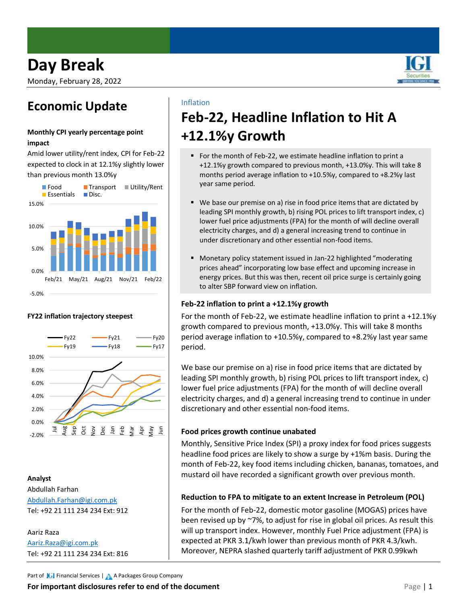Monday, February 28, 2022

### **Economic Update**

### **Monthly CPI yearly percentage point impact**

Amid lower utility/rent index, CPI for Feb-22 expected to clock in at 12.1%y slightly lower than previous month 13.0%y



### **FY22 inflation trajectory steepest**



### **Analyst**

Abdullah Farhan [Abdullah.Farhan@igi.com.pk](mailto:Abdullah.Farhan@igi.com.pk) Tel: +92 21 111 234 234 Ext: 912

Aariz Raza [Aariz.Raza@igi.com.pk](mailto:Aariz.Raza@igi.com.pk) Tel: +92 21 111 234 234 Ext: 816

### Inflation

# **Feb-22, Headline Inflation to Hit A +12.1%y Growth**

- For the month of Feb-22, we estimate headline inflation to print a +12.1%y growth compared to previous month, +13.0%y. This will take 8 months period average inflation to +10.5%y, compared to +8.2%y last year same period.
- We base our premise on a) rise in food price items that are dictated by leading SPI monthly growth, b) rising POL prices to lift transport index, c) lower fuel price adjustments (FPA) for the month of will decline overall electricity charges, and d) a general increasing trend to continue in under discretionary and other essential non-food items.
- Monetary policy statement issued in Jan-22 highlighted "moderating prices ahead" incorporating low base effect and upcoming increase in energy prices. But this was then, recent oil price surge is certainly going to alter SBP forward view on inflation.

### **Feb-22 inflation to print a +12.1%y growth**

For the month of Feb-22, we estimate headline inflation to print a +12.1%y growth compared to previous month, +13.0%y. This will take 8 months period average inflation to +10.5%y, compared to +8.2%y last year same period.

We base our premise on a) rise in food price items that are dictated by leading SPI monthly growth, b) rising POL prices to lift transport index, c) lower fuel price adjustments (FPA) for the month of will decline overall electricity charges, and d) a general increasing trend to continue in under discretionary and other essential non-food items.

### **Food prices growth continue unabated**

Monthly, Sensitive Price Index (SPI) a proxy index for food prices suggests headline food prices are likely to show a surge by +1%m basis. During the month of Feb-22, key food items including chicken, bananas, tomatoes, and mustard oil have recorded a significant growth over previous month.

### **Reduction to FPA to mitigate to an extent Increase in Petroleum (POL)**

For the month of Feb-22, domestic motor gasoline (MOGAS) prices have been revised up by ~7%, to adjust for rise in global oil prices. As result this will up transport index. However, monthly Fuel Price adjustment (FPA) is expected at PKR 3.1/kwh lower than previous month of PKR 4.3/kwh. Moreover, NEPRA slashed quarterly tariff adjustment of PKR 0.99kwh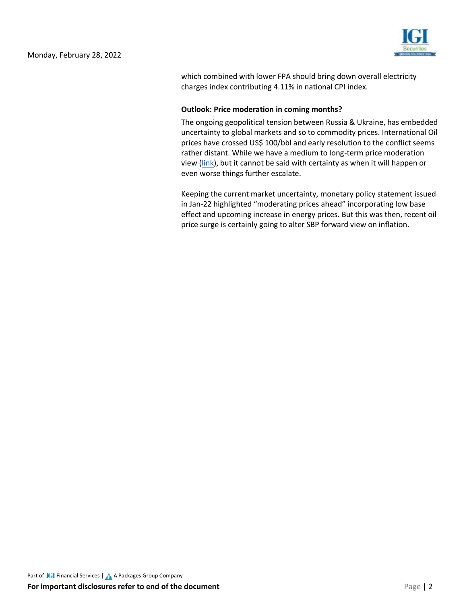

which combined with lower FPA should bring down overall electricity charges index contributing 4.11% in national CPI index.

### **Outlook: Price moderation in coming months?**

The ongoing geopolitical tension between Russia & Ukraine, has embedded uncertainty to global markets and so to commodity prices. International Oil prices have crossed US\$ 100/bbl and early resolution to the conflict seems rather distant. While we have a medium to long-term price moderation view [\(link\)](https://www.igisecurities.com.pk/downloads/research/OilAt90s.pdf), but it cannot be said with certainty as when it will happen or even worse things further escalate.

Keeping the current market uncertainty, monetary policy statement issued in Jan-22 highlighted "moderating prices ahead" incorporating low base effect and upcoming increase in energy prices. But this was then, recent oil price surge is certainly going to alter SBP forward view on inflation.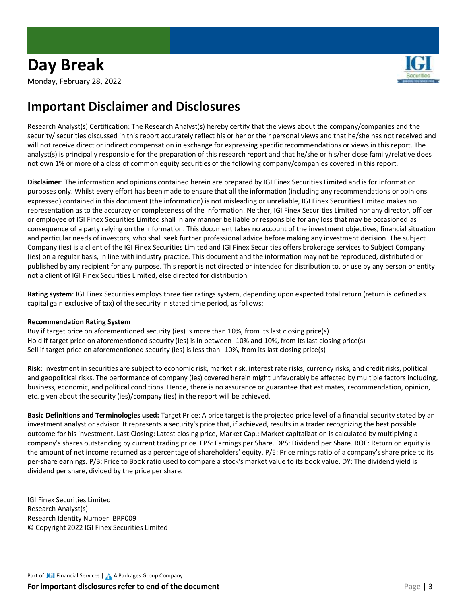

### **Important Disclaimer and Disclosures**

Research Analyst(s) Certification: The Research Analyst(s) hereby certify that the views about the company/companies and the security/ securities discussed in this report accurately reflect his or her or their personal views and that he/she has not received and will not receive direct or indirect compensation in exchange for expressing specific recommendations or views in this report. The analyst(s) is principally responsible for the preparation of this research report and that he/she or his/her close family/relative does not own 1% or more of a class of common equity securities of the following company/companies covered in this report.

**Disclaimer**: The information and opinions contained herein are prepared by IGI Finex Securities Limited and is for information purposes only. Whilst every effort has been made to ensure that all the information (including any recommendations or opinions expressed) contained in this document (the information) is not misleading or unreliable, IGI Finex Securities Limited makes no representation as to the accuracy or completeness of the information. Neither, IGI Finex Securities Limited nor any director, officer or employee of IGI Finex Securities Limited shall in any manner be liable or responsible for any loss that may be occasioned as consequence of a party relying on the information. This document takes no account of the investment objectives, financial situation and particular needs of investors, who shall seek further professional advice before making any investment decision. The subject Company (ies) is a client of the IGI Finex Securities Limited and IGI Finex Securities offers brokerage services to Subject Company (ies) on a regular basis, in line with industry practice. This document and the information may not be reproduced, distributed or published by any recipient for any purpose. This report is not directed or intended for distribution to, or use by any person or entity not a client of IGI Finex Securities Limited, else directed for distribution.

**Rating system**: IGI Finex Securities employs three tier ratings system, depending upon expected total return (return is defined as capital gain exclusive of tax) of the security in stated time period, as follows:

### **Recommendation Rating System**

Buy if target price on aforementioned security (ies) is more than 10%, from its last closing price(s) Hold if target price on aforementioned security (ies) is in between -10% and 10%, from its last closing price(s) Sell if target price on aforementioned security (ies) is less than -10%, from its last closing price(s)

**Risk**: Investment in securities are subject to economic risk, market risk, interest rate risks, currency risks, and credit risks, political and geopolitical risks. The performance of company (ies) covered herein might unfavorably be affected by multiple factors including, business, economic, and political conditions. Hence, there is no assurance or guarantee that estimates, recommendation, opinion, etc. given about the security (ies)/company (ies) in the report will be achieved.

**Basic Definitions and Terminologies used:** Target Price: A price target is the projected price level of a financial security stated by an investment analyst or advisor. It represents a security's price that, if achieved, results in a trader recognizing the best possible outcome for his investment, Last Closing: Latest closing price, Market Cap.: Market capitalization is calculated by multiplying a company's shares outstanding by current trading price. EPS: Earnings per Share. DPS: Dividend per Share. ROE: Return on equity is the amount of net income returned as a percentage of shareholders' equity. P/E: Price rnings ratio of a company's share price to its per-share earnings. P/B: Price to Book ratio used to compare a stock's market value to its book value. DY: The dividend yield is dividend per share, divided by the price per share.

IGI Finex Securities Limited Research Analyst(s) Research Identity Number: BRP009 © Copyright 2022 IGI Finex Securities Limited